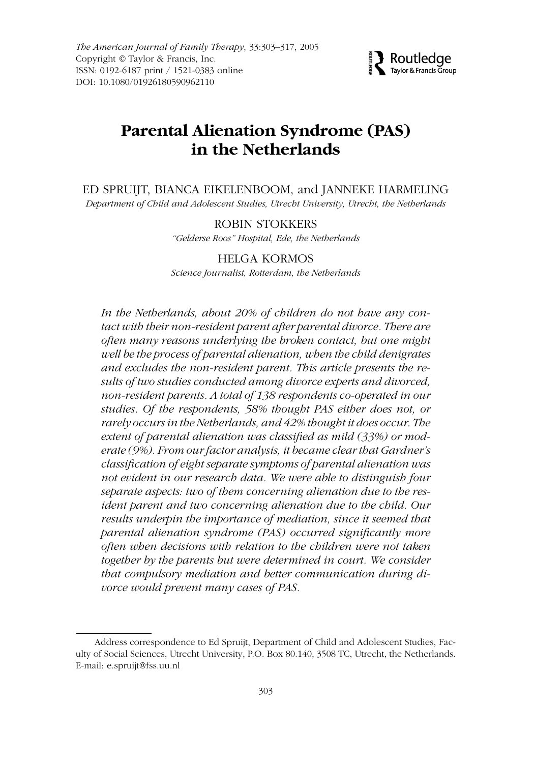

# **Parental Alienation Syndrome (PAS) in the Netherlands**

ED SPRUIJT, BIANCA EIKELENBOOM, and JANNEKE HARMELING *Department of Child and Adolescent Studies, Utrecht University, Utrecht, the Netherlands*

> ROBIN STOKKERS *"Gelderse Roos" Hospital, Ede, the Netherlands*

HELGA KORMOS *Science Journalist, Rotterdam, the Netherlands*

*In the Netherlands, about 20% of children do not have any contact with their non-resident parent after parental divorce. There are often many reasons underlying the broken contact, but one might well be the process of parental alienation, when the child denigrates and excludes the non-resident parent. This article presents the results of two studies conducted among divorce experts and divorced, non-resident parents. A total of 138 respondents co-operated in our studies. Of the respondents, 58% thought PAS either does not, or rarely occurs in the Netherlands, and 42% thought it does occur. The extent of parental alienation was classified as mild (33%) or moderate (9%). From our factor analysis, it became clear that Gardner's classification of eight separate symptoms of parental alienation was not evident in our research data. We were able to distinguish four separate aspects: two of them concerning alienation due to the resident parent and two concerning alienation due to the child. Our results underpin the importance of mediation, since it seemed that parental alienation syndrome (PAS) occurred significantly more often when decisions with relation to the children were not taken together by the parents but were determined in court. We consider that compulsory mediation and better communication during divorce would prevent many cases of PAS.*

Address correspondence to Ed Spruijt, Department of Child and Adolescent Studies, Faculty of Social Sciences, Utrecht University, P.O. Box 80.140, 3508 TC, Utrecht, the Netherlands. E-mail: e.spruijt@fss.uu.nl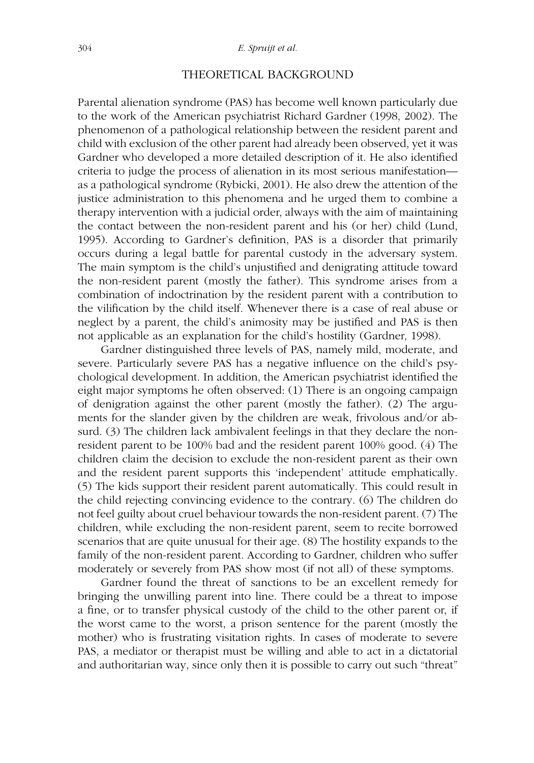#### THEORETICAL BACKGROUND

Parental alienation syndrome (PAS) has become well known particularly due to the work of the American psychiatrist Richard Gardner (1998, 2002). The phenomenon of a pathological relationship between the resident parent and child with exclusion of the other parent had already been observed, yet it was Gardner who developed a more detailed description of it. He also identified criteria to judge the process of alienation in its most serious manifestation as a pathological syndrome (Rybicki, 2001). He also drew the attention of the justice administration to this phenomena and he urged them to combine a therapy intervention with a judicial order, always with the aim of maintaining the contact between the non-resident parent and his (or her) child (Lund, 1995). According to Gardner's definition, PAS is a disorder that primarily occurs during a legal battle for parental custody in the adversary system. The main symptom is the child's unjustified and denigrating attitude toward the non-resident parent (mostly the father). This syndrome arises from a combination of indoctrination by the resident parent with a contribution to the vilification by the child itself. Whenever there is a case of real abuse or neglect by a parent, the child's animosity may be justified and PAS is then not applicable as an explanation for the child's hostility (Gardner, 1998).

Gardner distinguished three levels of PAS, namely mild, moderate, and severe. Particularly severe PAS has a negative influence on the child's psychological development. In addition, the American psychiatrist identified the eight major symptoms he often observed: (1) There is an ongoing campaign of denigration against the other parent (mostly the father). (2) The arguments for the slander given by the children are weak, frivolous and/or absurd. (3) The children lack ambivalent feelings in that they declare the nonresident parent to be 100% bad and the resident parent 100% good. (4) The children claim the decision to exclude the non-resident parent as their own and the resident parent supports this 'independent' attitude emphatically. (5) The kids support their resident parent automatically. This could result in the child rejecting convincing evidence to the contrary. (6) The children do not feel guilty about cruel behaviour towards the non-resident parent. (7) The children, while excluding the non-resident parent, seem to recite borrowed scenarios that are quite unusual for their age. (8) The hostility expands to the family of the non-resident parent. According to Gardner, children who suffer moderately or severely from PAS show most (if not all) of these symptoms.

Gardner found the threat of sanctions to be an excellent remedy for bringing the unwilling parent into line. There could be a threat to impose a fine, or to transfer physical custody of the child to the other parent or, if the worst came to the worst, a prison sentence for the parent (mostly the mother) who is frustrating visitation rights. In cases of moderate to severe PAS, a mediator or therapist must be willing and able to act in a dictatorial and authoritarian way, since only then it is possible to carry out such "threat"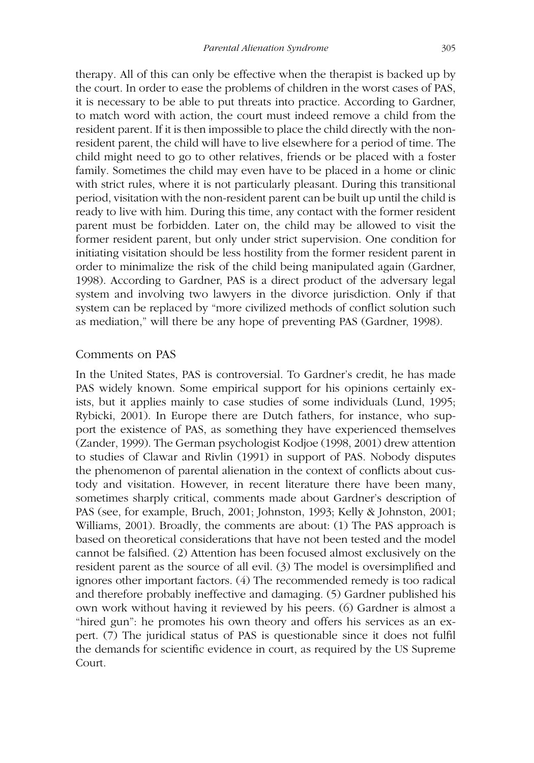therapy. All of this can only be effective when the therapist is backed up by the court. In order to ease the problems of children in the worst cases of PAS, it is necessary to be able to put threats into practice. According to Gardner, to match word with action, the court must indeed remove a child from the resident parent. If it is then impossible to place the child directly with the nonresident parent, the child will have to live elsewhere for a period of time. The child might need to go to other relatives, friends or be placed with a foster family. Sometimes the child may even have to be placed in a home or clinic with strict rules, where it is not particularly pleasant. During this transitional period, visitation with the non-resident parent can be built up until the child is ready to live with him. During this time, any contact with the former resident parent must be forbidden. Later on, the child may be allowed to visit the former resident parent, but only under strict supervision. One condition for initiating visitation should be less hostility from the former resident parent in order to minimalize the risk of the child being manipulated again (Gardner, 1998). According to Gardner, PAS is a direct product of the adversary legal system and involving two lawyers in the divorce jurisdiction. Only if that system can be replaced by "more civilized methods of conflict solution such as mediation," will there be any hope of preventing PAS (Gardner, 1998).

#### Comments on PAS

In the United States, PAS is controversial. To Gardner's credit, he has made PAS widely known. Some empirical support for his opinions certainly exists, but it applies mainly to case studies of some individuals (Lund, 1995; Rybicki, 2001). In Europe there are Dutch fathers, for instance, who support the existence of PAS, as something they have experienced themselves (Zander, 1999). The German psychologist Kodjoe (1998, 2001) drew attention to studies of Clawar and Rivlin (1991) in support of PAS. Nobody disputes the phenomenon of parental alienation in the context of conflicts about custody and visitation. However, in recent literature there have been many, sometimes sharply critical, comments made about Gardner's description of PAS (see, for example, Bruch, 2001; Johnston, 1993; Kelly & Johnston, 2001; Williams, 2001). Broadly, the comments are about: (1) The PAS approach is based on theoretical considerations that have not been tested and the model cannot be falsified. (2) Attention has been focused almost exclusively on the resident parent as the source of all evil. (3) The model is oversimplified and ignores other important factors. (4) The recommended remedy is too radical and therefore probably ineffective and damaging. (5) Gardner published his own work without having it reviewed by his peers. (6) Gardner is almost a "hired gun": he promotes his own theory and offers his services as an expert. (7) The juridical status of PAS is questionable since it does not fulfil the demands for scientific evidence in court, as required by the US Supreme Court.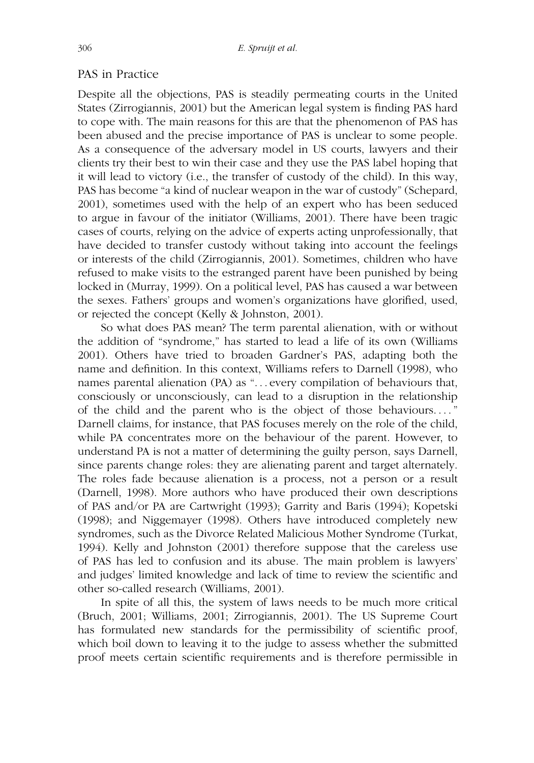### PAS in Practice

Despite all the objections, PAS is steadily permeating courts in the United States (Zirrogiannis, 2001) but the American legal system is finding PAS hard to cope with. The main reasons for this are that the phenomenon of PAS has been abused and the precise importance of PAS is unclear to some people. As a consequence of the adversary model in US courts, lawyers and their clients try their best to win their case and they use the PAS label hoping that it will lead to victory (i.e., the transfer of custody of the child). In this way, PAS has become "a kind of nuclear weapon in the war of custody" (Schepard, 2001), sometimes used with the help of an expert who has been seduced to argue in favour of the initiator (Williams, 2001). There have been tragic cases of courts, relying on the advice of experts acting unprofessionally, that have decided to transfer custody without taking into account the feelings or interests of the child (Zirrogiannis, 2001). Sometimes, children who have refused to make visits to the estranged parent have been punished by being locked in (Murray, 1999). On a political level, PAS has caused a war between the sexes. Fathers' groups and women's organizations have glorified, used, or rejected the concept (Kelly & Johnston, 2001).

So what does PAS mean? The term parental alienation, with or without the addition of "syndrome," has started to lead a life of its own (Williams 2001). Others have tried to broaden Gardner's PAS, adapting both the name and definition. In this context, Williams refers to Darnell (1998), who names parental alienation (PA) as "... every compilation of behaviours that, consciously or unconsciously, can lead to a disruption in the relationship of the child and the parent who is the object of those behaviours. . . . " Darnell claims, for instance, that PAS focuses merely on the role of the child, while PA concentrates more on the behaviour of the parent. However, to understand PA is not a matter of determining the guilty person, says Darnell, since parents change roles: they are alienating parent and target alternately. The roles fade because alienation is a process, not a person or a result (Darnell, 1998). More authors who have produced their own descriptions of PAS and/or PA are Cartwright (1993); Garrity and Baris (1994); Kopetski (1998); and Niggemayer (1998). Others have introduced completely new syndromes, such as the Divorce Related Malicious Mother Syndrome (Turkat, 1994). Kelly and Johnston (2001) therefore suppose that the careless use of PAS has led to confusion and its abuse. The main problem is lawyers' and judges' limited knowledge and lack of time to review the scientific and other so-called research (Williams, 2001).

In spite of all this, the system of laws needs to be much more critical (Bruch, 2001; Williams, 2001; Zirrogiannis, 2001). The US Supreme Court has formulated new standards for the permissibility of scientific proof, which boil down to leaving it to the judge to assess whether the submitted proof meets certain scientific requirements and is therefore permissible in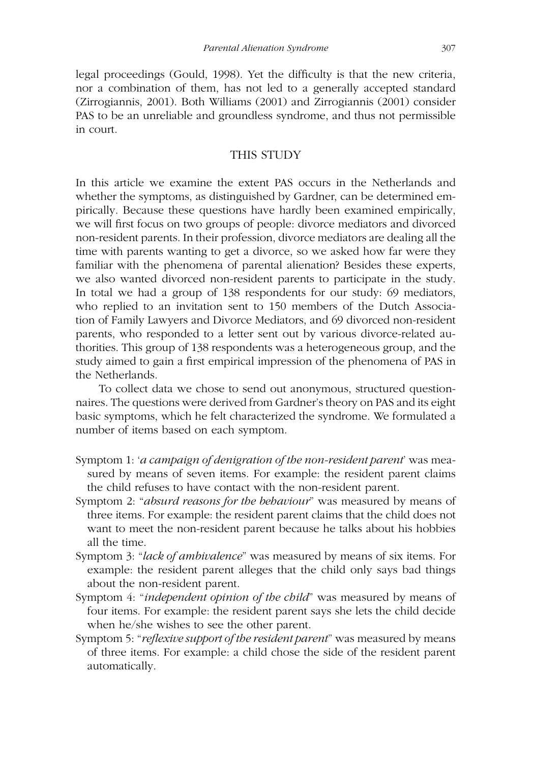legal proceedings (Gould, 1998). Yet the difficulty is that the new criteria, nor a combination of them, has not led to a generally accepted standard (Zirrogiannis, 2001). Both Williams (2001) and Zirrogiannis (2001) consider PAS to be an unreliable and groundless syndrome, and thus not permissible in court.

### THIS STUDY

In this article we examine the extent PAS occurs in the Netherlands and whether the symptoms, as distinguished by Gardner, can be determined empirically. Because these questions have hardly been examined empirically, we will first focus on two groups of people: divorce mediators and divorced non-resident parents. In their profession, divorce mediators are dealing all the time with parents wanting to get a divorce, so we asked how far were they familiar with the phenomena of parental alienation? Besides these experts, we also wanted divorced non-resident parents to participate in the study. In total we had a group of 138 respondents for our study: 69 mediators, who replied to an invitation sent to 150 members of the Dutch Association of Family Lawyers and Divorce Mediators, and 69 divorced non-resident parents, who responded to a letter sent out by various divorce-related authorities. This group of 138 respondents was a heterogeneous group, and the study aimed to gain a first empirical impression of the phenomena of PAS in the Netherlands.

To collect data we chose to send out anonymous, structured questionnaires. The questions were derived from Gardner's theory on PAS and its eight basic symptoms, which he felt characterized the syndrome. We formulated a number of items based on each symptom.

- Symptom 1: '*a campaign of denigration of the non-resident parent*' was measured by means of seven items. For example: the resident parent claims the child refuses to have contact with the non-resident parent.
- Symptom 2: "*absurd reasons for the behaviour*" was measured by means of three items. For example: the resident parent claims that the child does not want to meet the non-resident parent because he talks about his hobbies all the time.
- Symptom 3: "*lack of ambivalence*" was measured by means of six items. For example: the resident parent alleges that the child only says bad things about the non-resident parent.
- Symptom 4: "*independent opinion of the child*" was measured by means of four items. For example: the resident parent says she lets the child decide when he/she wishes to see the other parent.
- Symptom 5: "*reflexive support of the resident parent*" was measured by means of three items. For example: a child chose the side of the resident parent automatically.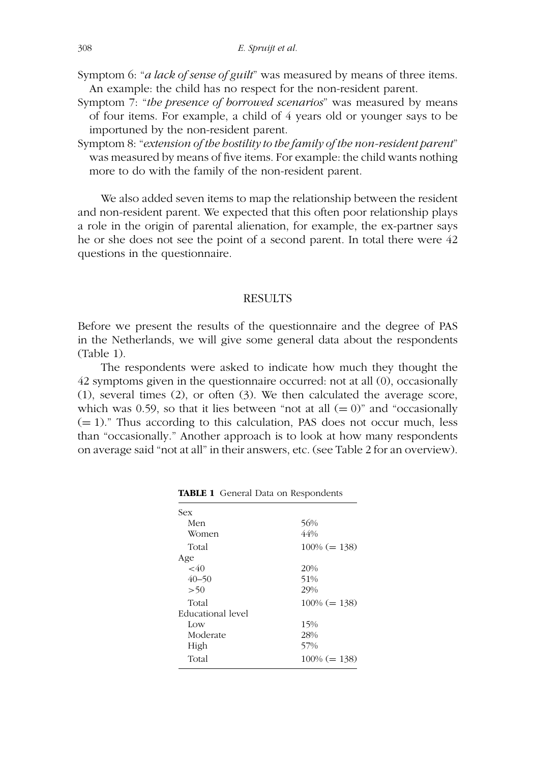Symptom 6: "*a lack of sense of guilt*" was measured by means of three items. An example: the child has no respect for the non-resident parent.

- Symptom 7: "*the presence of borrowed scenarios*" was measured by means of four items. For example, a child of 4 years old or younger says to be importuned by the non-resident parent.
- Symptom 8: "*extension of the hostility to the family of the non-resident parent*" was measured by means of five items. For example: the child wants nothing more to do with the family of the non-resident parent.

We also added seven items to map the relationship between the resident and non-resident parent. We expected that this often poor relationship plays a role in the origin of parental alienation, for example, the ex-partner says he or she does not see the point of a second parent. In total there were 42 questions in the questionnaire.

#### RESULTS

Before we present the results of the questionnaire and the degree of PAS in the Netherlands, we will give some general data about the respondents (Table 1).

The respondents were asked to indicate how much they thought the 42 symptoms given in the questionnaire occurred: not at all (0), occasionally (1), several times (2), or often (3). We then calculated the average score, which was 0.59, so that it lies between "not at all  $(= 0)$ " and "occasionally  $(= 1)$ ." Thus according to this calculation, PAS does not occur much, less than "occasionally." Another approach is to look at how many respondents on average said "not at all" in their answers, etc. (see Table 2 for an overview).

| Sex               |                 |
|-------------------|-----------------|
| Men               | 56%             |
| Women             | 44%             |
| Total             | $100\% (= 138)$ |
| Age               |                 |
| ${540}$           | 20%             |
| $40 - 50$         | 51%             |
| >50               | 29%             |
| Total             | $100\% (= 138)$ |
| Educational level |                 |
| Low               | 15%             |
| Moderate          | 28%             |
| High              | 57%             |
| Total             | $100\% (= 138)$ |
|                   |                 |

**TABLE 1** General Data on Respondents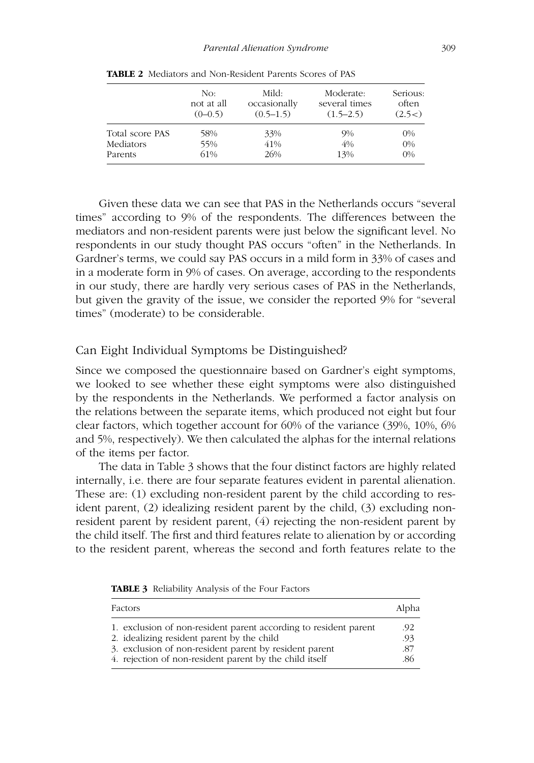|                 | No:        | Mild:        | Moderate:     | Serious: |
|-----------------|------------|--------------|---------------|----------|
|                 | not at all | occasionally | several times | often    |
|                 | $(0-0.5)$  | $(0.5-1.5)$  | $(1.5-2.5)$   | (2.5<)   |
| Total score PAS | 58%        | 33%          | $9\%$         | $0\%$    |
| Mediators       | 55%        | 41%          | 4%            | 0%       |
| Parents         | 61%        | 26%          | 13%           | $0\%$    |

**TABLE 2** Mediators and Non-Resident Parents Scores of PAS

Given these data we can see that PAS in the Netherlands occurs "several times" according to 9% of the respondents. The differences between the mediators and non-resident parents were just below the significant level. No respondents in our study thought PAS occurs "often" in the Netherlands. In Gardner's terms, we could say PAS occurs in a mild form in 33% of cases and in a moderate form in 9% of cases. On average, according to the respondents in our study, there are hardly very serious cases of PAS in the Netherlands, but given the gravity of the issue, we consider the reported 9% for "several times" (moderate) to be considerable.

#### Can Eight Individual Symptoms be Distinguished?

Since we composed the questionnaire based on Gardner's eight symptoms, we looked to see whether these eight symptoms were also distinguished by the respondents in the Netherlands. We performed a factor analysis on the relations between the separate items, which produced not eight but four clear factors, which together account for 60% of the variance (39%, 10%, 6% and 5%, respectively). We then calculated the alphas for the internal relations of the items per factor.

The data in Table 3 shows that the four distinct factors are highly related internally, i.e. there are four separate features evident in parental alienation. These are: (1) excluding non-resident parent by the child according to resident parent, (2) idealizing resident parent by the child, (3) excluding nonresident parent by resident parent, (4) rejecting the non-resident parent by the child itself. The first and third features relate to alienation by or according to the resident parent, whereas the second and forth features relate to the

| Factors                                                          | Alpha |
|------------------------------------------------------------------|-------|
| 1. exclusion of non-resident parent according to resident parent | .92   |
| 2. idealizing resident parent by the child                       | .93   |
| 3. exclusion of non-resident parent by resident parent           | .87   |
| 4. rejection of non-resident parent by the child itself          | .86   |

**TABLE 3** Reliability Analysis of the Four Factors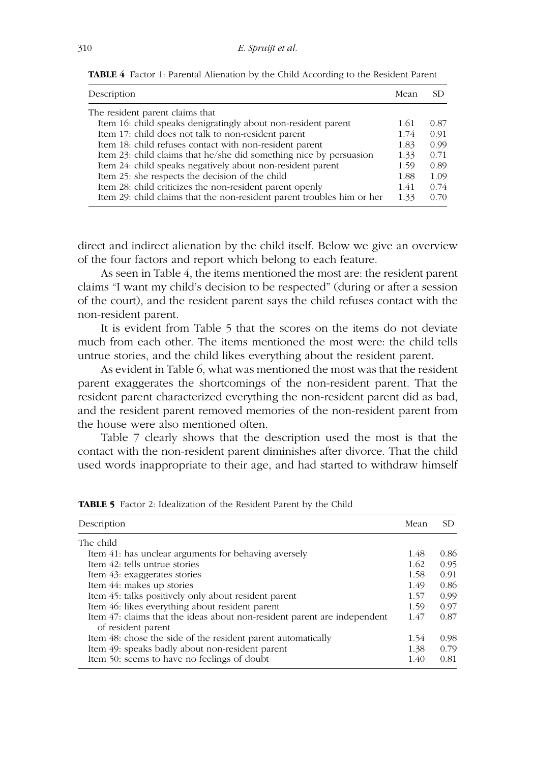| Description                                                            | Mean | SD   |
|------------------------------------------------------------------------|------|------|
| The resident parent claims that                                        |      |      |
| Item 16: child speaks denigratingly about non-resident parent          | 1.61 | 0.87 |
| Item 17: child does not talk to non-resident parent                    | 1.74 | 0.91 |
| Item 18: child refuses contact with non-resident parent                | 1.83 | 0.99 |
| Item 23: child claims that he/she did something nice by persuasion     | 1.33 | 0.71 |
| Item 24: child speaks negatively about non-resident parent             | 1.59 | 0.89 |
| Item 25: she respects the decision of the child                        | 1.88 | 1.09 |
| Item 28: child criticizes the non-resident parent openly               | 1.41 | 0.74 |
| Item 29: child claims that the non-resident parent troubles him or her | 1.33 | 0.70 |

**TABLE 4** Factor 1: Parental Alienation by the Child According to the Resident Parent

direct and indirect alienation by the child itself. Below we give an overview of the four factors and report which belong to each feature.

As seen in Table 4, the items mentioned the most are: the resident parent claims "I want my child's decision to be respected" (during or after a session of the court), and the resident parent says the child refuses contact with the non-resident parent.

It is evident from Table 5 that the scores on the items do not deviate much from each other. The items mentioned the most were: the child tells untrue stories, and the child likes everything about the resident parent.

As evident in Table 6, what was mentioned the most was that the resident parent exaggerates the shortcomings of the non-resident parent. That the resident parent characterized everything the non-resident parent did as bad, and the resident parent removed memories of the non-resident parent from the house were also mentioned often.

Table 7 clearly shows that the description used the most is that the contact with the non-resident parent diminishes after divorce. That the child used words inappropriate to their age, and had started to withdraw himself

| Description                                                                                    | Mean | SD.  |
|------------------------------------------------------------------------------------------------|------|------|
| The child                                                                                      |      |      |
| Item 41: has unclear arguments for behaving aversely                                           | 1.48 | 0.86 |
| Item 42: tells untrue stories                                                                  | 1.62 | 0.95 |
| Item 43: exaggerates stories                                                                   | 1.58 | 0.91 |
| Item 44: makes up stories                                                                      | 1.49 | 0.86 |
| Item 45: talks positively only about resident parent                                           | 1.57 | 0.99 |
| Item 46: likes everything about resident parent                                                | 1.59 | 0.97 |
| Item 47: claims that the ideas about non-resident parent are independent<br>of resident parent | 1.47 | 0.87 |
| Item 48: chose the side of the resident parent automatically                                   | 1.54 | 0.98 |
| Item 49: speaks badly about non-resident parent                                                | 1.38 | 0.79 |
| Item 50: seems to have no feelings of doubt                                                    | 1.40 | 0.81 |

**TABLE 5** Factor 2: Idealization of the Resident Parent by the Child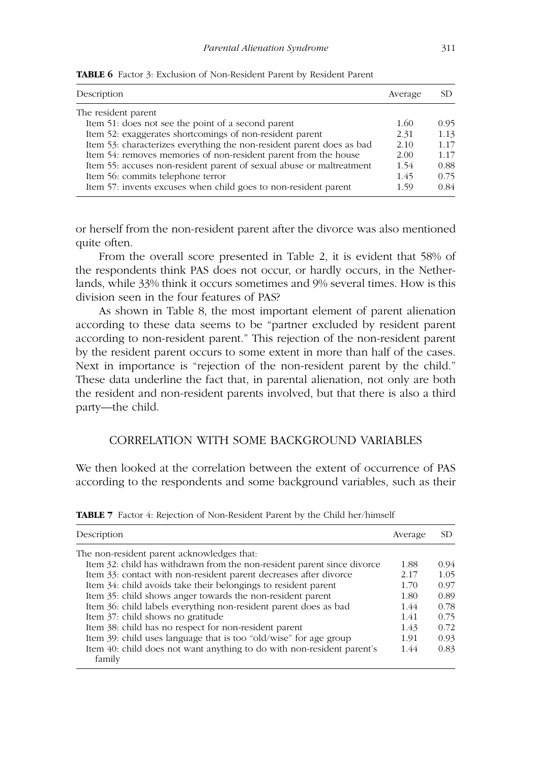| Description                                                           | Average | SD.  |
|-----------------------------------------------------------------------|---------|------|
| The resident parent                                                   |         |      |
| Item 51: does not see the point of a second parent                    | 1.60    | 0.95 |
| Item 52: exaggerates shortcomings of non-resident parent              | 2.31    | 1.13 |
| Item 53: characterizes everything the non-resident parent does as bad | 2.10    | 1.17 |
| Item 54: removes memories of non-resident parent from the house       | 2.00    | 1.17 |
| Item 55: accuses non-resident parent of sexual abuse or maltreatment  | 1.54    | 0.88 |
| Item 56: commits telephone terror                                     | 1.45    | 0.75 |
| Item 57: invents excuses when child goes to non-resident parent       | 1.59    | 0.84 |

TABLE 6 Factor 3: Exclusion of Non-Resident Parent by Resident Parent

or herself from the non-resident parent after the divorce was also mentioned quite often.

From the overall score presented in Table 2, it is evident that 58% of the respondents think PAS does not occur, or hardly occurs, in the Netherlands, while 33% think it occurs sometimes and 9% several times. How is this division seen in the four features of PAS?

As shown in Table 8, the most important element of parent alienation according to these data seems to be "partner excluded by resident parent according to non-resident parent." This rejection of the non-resident parent by the resident parent occurs to some extent in more than half of the cases. Next in importance is "rejection of the non-resident parent by the child." These data underline the fact that, in parental alienation, not only are both the resident and non-resident parents involved, but that there is also a third party—the child.

#### CORRELATION WITH SOME BACKGROUND VARIABLES

We then looked at the correlation between the extent of occurrence of PAS according to the respondents and some background variables, such as their

**TABLE 7** Factor 4: Rejection of Non-Resident Parent by the Child her/himself

| Description                                                                      | Average | SD.  |  |
|----------------------------------------------------------------------------------|---------|------|--|
| The non-resident parent acknowledges that:                                       |         |      |  |
| Item 32: child has withdrawn from the non-resident parent since divorce          | 1.88    | 0.94 |  |
| Item 33: contact with non-resident parent decreases after divorce                | 2.17    | 1.05 |  |
| Item 34: child avoids take their belongings to resident parent                   | 1.70    | 0.97 |  |
| Item 35: child shows anger towards the non-resident parent                       | 1.80    | 0.89 |  |
| Item 36: child labels everything non-resident parent does as bad                 | 1.44    | 0.78 |  |
| Item 37: child shows no gratitude                                                | 1.41    | 0.75 |  |
| Item 38: child has no respect for non-resident parent                            | 1.43    | 0.72 |  |
| Item 39: child uses language that is too "old/wise" for age group                | 1.91    | 0.93 |  |
| Item 40: child does not want anything to do with non-resident parent's<br>family | 1.44    | 0.83 |  |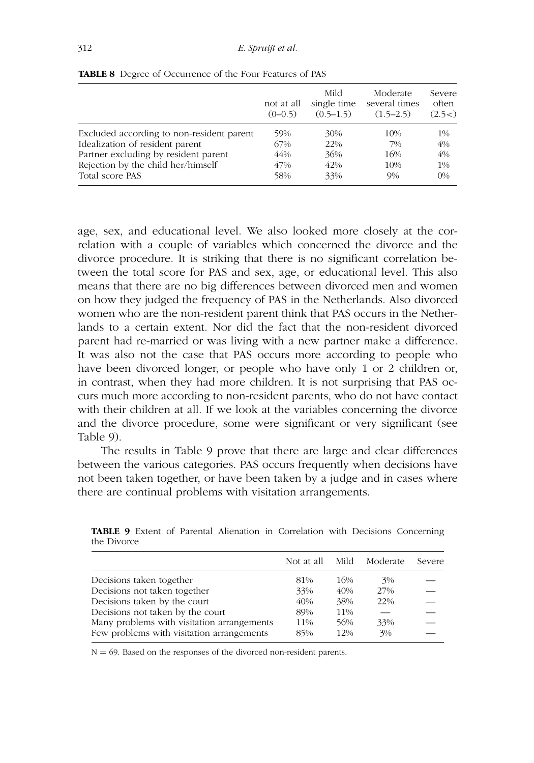|                                           | not at all<br>$(0-0.5)$ | Mild<br>single time<br>$(0.5-1.5)$ | Moderate<br>several times<br>$(1.5-2.5)$ | Severe<br>often<br>(2.5<) |
|-------------------------------------------|-------------------------|------------------------------------|------------------------------------------|---------------------------|
| Excluded according to non-resident parent | 59%                     | 30%                                | 10%                                      | $1\%$                     |
| Idealization of resident parent           | 67%                     | 22%                                | 7%                                       | 4%                        |
| Partner excluding by resident parent      | 44%                     | 36%                                | 16%                                      | 4%                        |
| Rejection by the child her/himself        | 47%                     | 42%                                | 10%                                      | $1\%$                     |
| Total score PAS                           | 58%                     | 33%                                | 9%                                       | 0%                        |

**TABLE 8** Degree of Occurrence of the Four Features of PAS

age, sex, and educational level. We also looked more closely at the correlation with a couple of variables which concerned the divorce and the divorce procedure. It is striking that there is no significant correlation between the total score for PAS and sex, age, or educational level. This also means that there are no big differences between divorced men and women on how they judged the frequency of PAS in the Netherlands. Also divorced women who are the non-resident parent think that PAS occurs in the Netherlands to a certain extent. Nor did the fact that the non-resident divorced parent had re-married or was living with a new partner make a difference. It was also not the case that PAS occurs more according to people who have been divorced longer, or people who have only 1 or 2 children or, in contrast, when they had more children. It is not surprising that PAS occurs much more according to non-resident parents, who do not have contact with their children at all. If we look at the variables concerning the divorce and the divorce procedure, some were significant or very significant (see Table 9).

The results in Table 9 prove that there are large and clear differences between the various categories. PAS occurs frequently when decisions have not been taken together, or have been taken by a judge and in cases where there are continual problems with visitation arrangements.

| Not at all | Mild | Moderate | Severe |
|------------|------|----------|--------|
| 81%        | 16%  | 3%       |        |
| 33%        | 40%  | 27%      |        |
| 40%        | 38%  | 22%      |        |
| 89%        | 11%  |          |        |
| 11%        | 56%  | 33%      |        |
| 85%        | 12%  | 3%       |        |
|            |      |          |        |

**TABLE 9** Extent of Parental Alienation in Correlation with Decisions Concerning the Divorce

 $N = 69$ . Based on the responses of the divorced non-resident parents.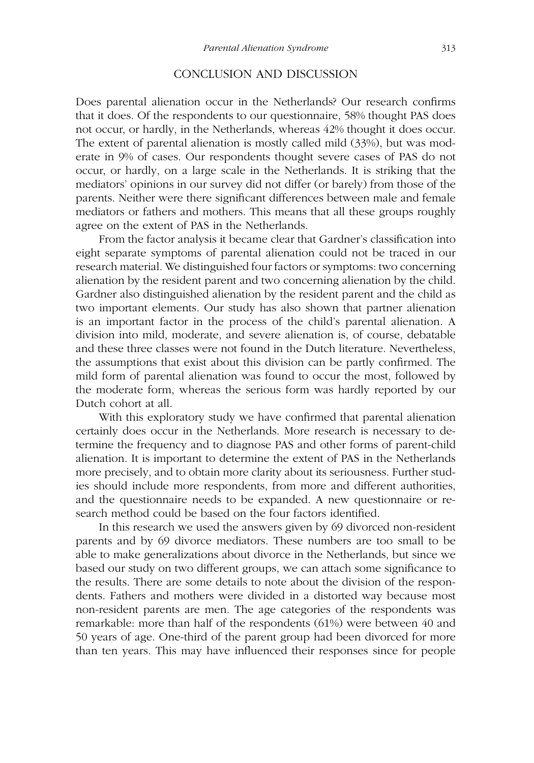### CONCLUSION AND DISCUSSION

Does parental alienation occur in the Netherlands? Our research confirms that it does. Of the respondents to our questionnaire, 58% thought PAS does not occur, or hardly, in the Netherlands, whereas 42% thought it does occur. The extent of parental alienation is mostly called mild (33%), but was moderate in 9% of cases. Our respondents thought severe cases of PAS do not occur, or hardly, on a large scale in the Netherlands. It is striking that the mediators' opinions in our survey did not differ (or barely) from those of the parents. Neither were there significant differences between male and female mediators or fathers and mothers. This means that all these groups roughly agree on the extent of PAS in the Netherlands.

From the factor analysis it became clear that Gardner's classification into eight separate symptoms of parental alienation could not be traced in our research material. We distinguished four factors or symptoms: two concerning alienation by the resident parent and two concerning alienation by the child. Gardner also distinguished alienation by the resident parent and the child as two important elements. Our study has also shown that partner alienation is an important factor in the process of the child's parental alienation. A division into mild, moderate, and severe alienation is, of course, debatable and these three classes were not found in the Dutch literature. Nevertheless, the assumptions that exist about this division can be partly confirmed. The mild form of parental alienation was found to occur the most, followed by the moderate form, whereas the serious form was hardly reported by our Dutch cohort at all.

With this exploratory study we have confirmed that parental alienation certainly does occur in the Netherlands. More research is necessary to determine the frequency and to diagnose PAS and other forms of parent-child alienation. It is important to determine the extent of PAS in the Netherlands more precisely, and to obtain more clarity about its seriousness. Further studies should include more respondents, from more and different authorities, and the questionnaire needs to be expanded. A new questionnaire or research method could be based on the four factors identified.

In this research we used the answers given by 69 divorced non-resident parents and by 69 divorce mediators. These numbers are too small to be able to make generalizations about divorce in the Netherlands, but since we based our study on two different groups, we can attach some significance to the results. There are some details to note about the division of the respondents. Fathers and mothers were divided in a distorted way because most non-resident parents are men. The age categories of the respondents was remarkable: more than half of the respondents (61%) were between 40 and 50 years of age. One-third of the parent group had been divorced for more than ten years. This may have influenced their responses since for people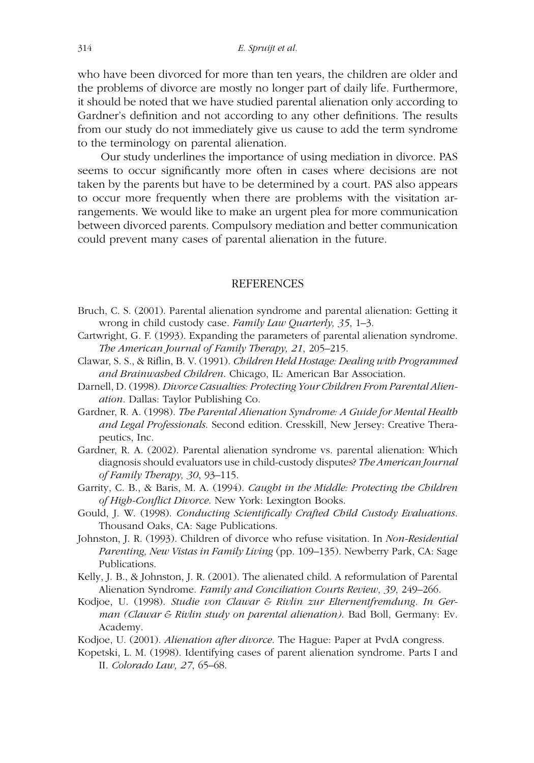who have been divorced for more than ten years, the children are older and the problems of divorce are mostly no longer part of daily life. Furthermore, it should be noted that we have studied parental alienation only according to Gardner's definition and not according to any other definitions. The results from our study do not immediately give us cause to add the term syndrome to the terminology on parental alienation.

Our study underlines the importance of using mediation in divorce. PAS seems to occur significantly more often in cases where decisions are not taken by the parents but have to be determined by a court. PAS also appears to occur more frequently when there are problems with the visitation arrangements. We would like to make an urgent plea for more communication between divorced parents. Compulsory mediation and better communication could prevent many cases of parental alienation in the future.

#### REFERENCES

- Bruch, C. S. (2001). Parental alienation syndrome and parental alienation: Getting it wrong in child custody case. *Family Law Quarterly, 35*, 1–3.
- Cartwright, G. F. (1993). Expanding the parameters of parental alienation syndrome. *The American Journal of Family Therapy, 21*, 205–215.
- Clawar, S. S., & Riflin, B. V. (1991). *Children Held Hostage: Dealing with Programmed and Brainwashed Children*. Chicago, IL: American Bar Association.
- Darnell, D. (1998). *Divorce Casualties: Protecting Your Children From Parental Alienation*. Dallas: Taylor Publishing Co.
- Gardner, R. A. (1998). *The Parental Alienation Syndrome: A Guide for Mental Health and Legal Professionals*. Second edition. Cresskill, New Jersey: Creative Therapeutics, Inc.
- Gardner, R. A. (2002). Parental alienation syndrome vs. parental alienation: Which diagnosis should evaluators use in child-custody disputes? *The American Journal of Family Therapy, 30*, 93–115.
- Garrity, C. B., & Baris, M. A. (1994). *Caught in the Middle: Protecting the Children of High-Conflict Divorce*. New York: Lexington Books.
- Gould, J. W. (1998). *Conducting Scientifically Crafted Child Custody Evaluations*. Thousand Oaks, CA: Sage Publications.
- Johnston, J. R. (1993). Children of divorce who refuse visitation. In *Non-Residential Parenting, New Vistas in Family Living* (pp. 109–135). Newberry Park, CA: Sage Publications.
- Kelly, J. B., & Johnston, J. R. (2001). The alienated child. A reformulation of Parental Alienation Syndrome. *Family and Conciliation Courts Review*, *39*, 249–266.
- Kodjoe, U. (1998). *Studie von Clawar & Rivlin zur Elternentfremdung. In German (Clawar & Rivlin study on parental alienation)*. Bad Boll, Germany: Ev. Academy.
- Kodjoe, U. (2001). *Alienation after divorce*. The Hague: Paper at PvdA congress.
- Kopetski, L. M. (1998). Identifying cases of parent alienation syndrome. Parts I and II. *Colorado Law, 27*, 65–68.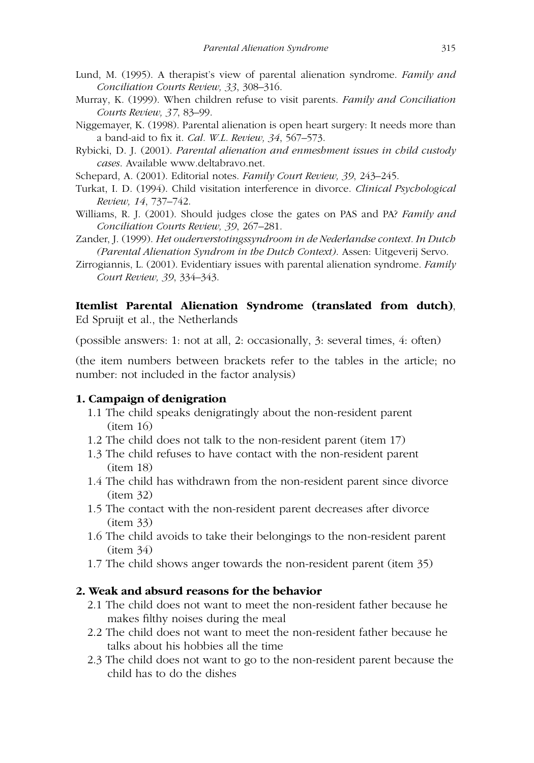- Lund, M. (1995). A therapist's view of parental alienation syndrome. *Family and Conciliation Courts Review, 33*, 308–316.
- Murray, K. (1999). When children refuse to visit parents. *Family and Conciliation Courts Review, 37*, 83–99.
- Niggemayer, K. (1998). Parental alienation is open heart surgery: It needs more than a band-aid to fix it. *Cal. W.L. Review, 34*, 567–573.
- Rybicki, D. J. (2001). *Parental alienation and enmeshment issues in child custody cases*. Available www.deltabravo.net.
- Schepard, A. (2001). Editorial notes. *Family Court Review, 39*, 243–245.
- Turkat, I. D. (1994). Child visitation interference in divorce. *Clinical Psychological Review, 14*, 737–742.
- Williams, R. J. (2001). Should judges close the gates on PAS and PA? *Family and Conciliation Courts Review, 39*, 267–281.
- Zander, J. (1999). *Het ouderverstotingssyndroom in de Nederlandse context. In Dutch (Parental Alienation Syndrom in the Dutch Context)*. Assen: Uitgeverij Servo.
- Zirrogiannis, L. (2001). Evidentiary issues with parental alienation syndrome. *Family Court Review, 39*, 334–343.

### **Itemlist Parental Alienation Syndrome (translated from dutch)**, Ed Spruijt et al., the Netherlands

(possible answers: 1: not at all, 2: occasionally, 3: several times, 4: often)

(the item numbers between brackets refer to the tables in the article; no number: not included in the factor analysis)

### **1. Campaign of denigration**

- 1.1 The child speaks denigratingly about the non-resident parent  $(item 16)$
- 1.2 The child does not talk to the non-resident parent (item 17)
- 1.3 The child refuses to have contact with the non-resident parent (item 18)
- 1.4 The child has withdrawn from the non-resident parent since divorce (item 32)
- 1.5 The contact with the non-resident parent decreases after divorce (item 33)
- 1.6 The child avoids to take their belongings to the non-resident parent (item 34)
- 1.7 The child shows anger towards the non-resident parent (item 35)

### **2. Weak and absurd reasons for the behavior**

- 2.1 The child does not want to meet the non-resident father because he makes filthy noises during the meal
- 2.2 The child does not want to meet the non-resident father because he talks about his hobbies all the time
- 2.3 The child does not want to go to the non-resident parent because the child has to do the dishes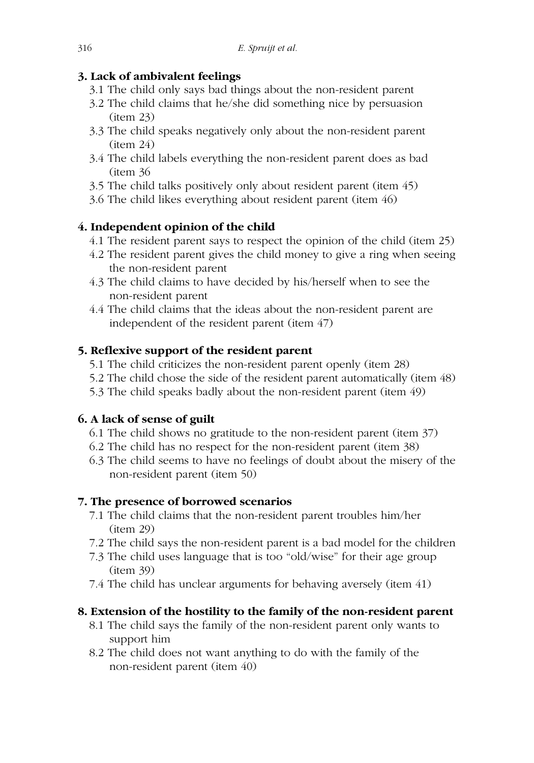## **3. Lack of ambivalent feelings**

- 3.1 The child only says bad things about the non-resident parent
- 3.2 The child claims that he/she did something nice by persuasion (item 23)
- 3.3 The child speaks negatively only about the non-resident parent  $(item 24)$
- 3.4 The child labels everything the non-resident parent does as bad (item 36
- 3.5 The child talks positively only about resident parent (item 45)
- 3.6 The child likes everything about resident parent (item 46)

# **4. Independent opinion of the child**

- 4.1 The resident parent says to respect the opinion of the child (item 25)
- 4.2 The resident parent gives the child money to give a ring when seeing the non-resident parent
- 4.3 The child claims to have decided by his/herself when to see the non-resident parent
- 4.4 The child claims that the ideas about the non-resident parent are independent of the resident parent (item 47)

# **5. Reflexive support of the resident parent**

- 5.1 The child criticizes the non-resident parent openly (item 28)
- 5.2 The child chose the side of the resident parent automatically (item 48)
- 5.3 The child speaks badly about the non-resident parent (item 49)

# **6. A lack of sense of guilt**

- 6.1 The child shows no gratitude to the non-resident parent (item 37)
- 6.2 The child has no respect for the non-resident parent (item 38)
- 6.3 The child seems to have no feelings of doubt about the misery of the non-resident parent (item 50)

# **7. The presence of borrowed scenarios**

- 7.1 The child claims that the non-resident parent troubles him/her (item 29)
- 7.2 The child says the non-resident parent is a bad model for the children
- 7.3 The child uses language that is too "old/wise" for their age group (item 39)
- 7.4 The child has unclear arguments for behaving aversely (item 41)

# **8. Extension of the hostility to the family of the non-resident parent**

- 8.1 The child says the family of the non-resident parent only wants to support him
- 8.2 The child does not want anything to do with the family of the non-resident parent (item 40)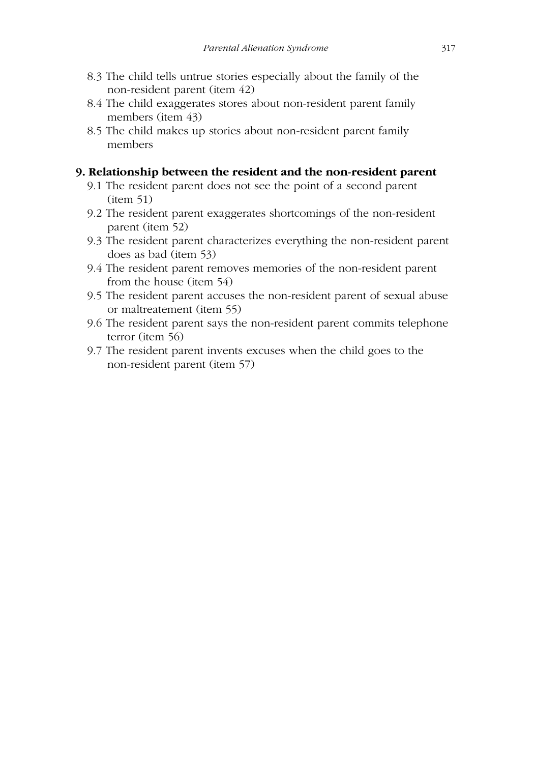- 8.3 The child tells untrue stories especially about the family of the non-resident parent (item 42)
- 8.4 The child exaggerates stores about non-resident parent family members (item 43)
- 8.5 The child makes up stories about non-resident parent family members

### **9. Relationship between the resident and the non-resident parent**

- 9.1 The resident parent does not see the point of a second parent (item 51)
- 9.2 The resident parent exaggerates shortcomings of the non-resident parent (item 52)
- 9.3 The resident parent characterizes everything the non-resident parent does as bad (item 53)
- 9.4 The resident parent removes memories of the non-resident parent from the house (item 54)
- 9.5 The resident parent accuses the non-resident parent of sexual abuse or maltreatement (item 55)
- 9.6 The resident parent says the non-resident parent commits telephone terror (item 56)
- 9.7 The resident parent invents excuses when the child goes to the non-resident parent (item 57)